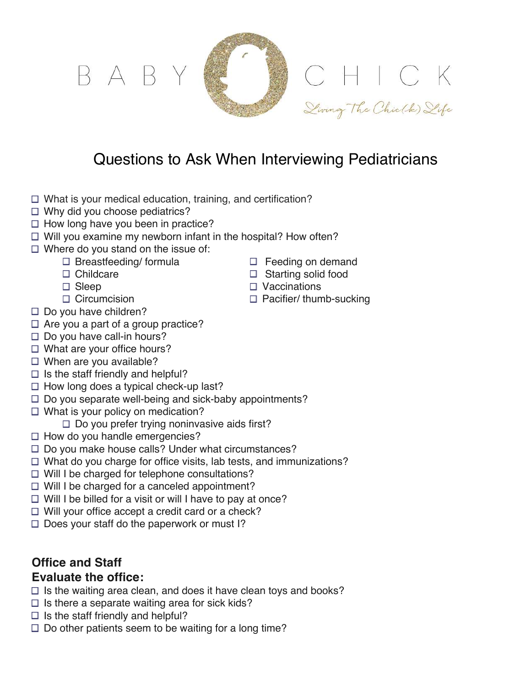

# Questions to Ask When Interviewing Pediatricians

- $\Box$  What is your medical education, training, and certification?
- $\Box$  Why did you choose pediatrics?
- $\Box$  How long have you been in practice?
- $\Box$  Will you examine my newborn infant in the hospital? How often?
- $\Box$  Where do you stand on the issue of:
	- $\Box$  Breastfeeding/ formula  $\Box$  Feeding on demand
	-
	-
	-
- $\Box$  Do you have children?
- $\Box$  Are you a part of a group practice?
- $\square$  Do you have call-in hours?
- $\Box$  What are your office hours?
- $\Box$  When are you available?
- $\Box$  Is the staff friendly and helpful?
- $\Box$  How long does a typical check-up last?
- $\Box$  Do you separate well-being and sick-baby appointments?
- $\Box$  What is your policy on medication?
	- $\Box$  Do you prefer trying noninvasive aids first?
- $\Box$  How do you handle emergencies?
- $\Box$  Do you make house calls? Under what circumstances?
- $\Box$  What do you charge for office visits, lab tests, and immunizations?
- $\Box$  Will I be charged for telephone consultations?
- $\Box$  Will I be charged for a canceled appointment?
- $\Box$  Will I be billed for a visit or will I have to pay at once?
- $\Box$  Will your office accept a credit card or a check?
- $\Box$  Does your staff do the paperwork or must I?

# **Office and Staff**

## **Evaluate the office:**

- $\Box$  Is the waiting area clean, and does it have clean toys and books?
- $\square$  Is there a separate waiting area for sick kids?
- $\Box$  Is the staff friendly and helpful?
- $\square$  Do other patients seem to be waiting for a long time?
- 
- $\Box$  Childcare  $\Box$  Starting solid food
- □ Sleep □ Vaccinations
- $\Box$  Circumcision  $\Box$  Pacifier/ thumb-sucking